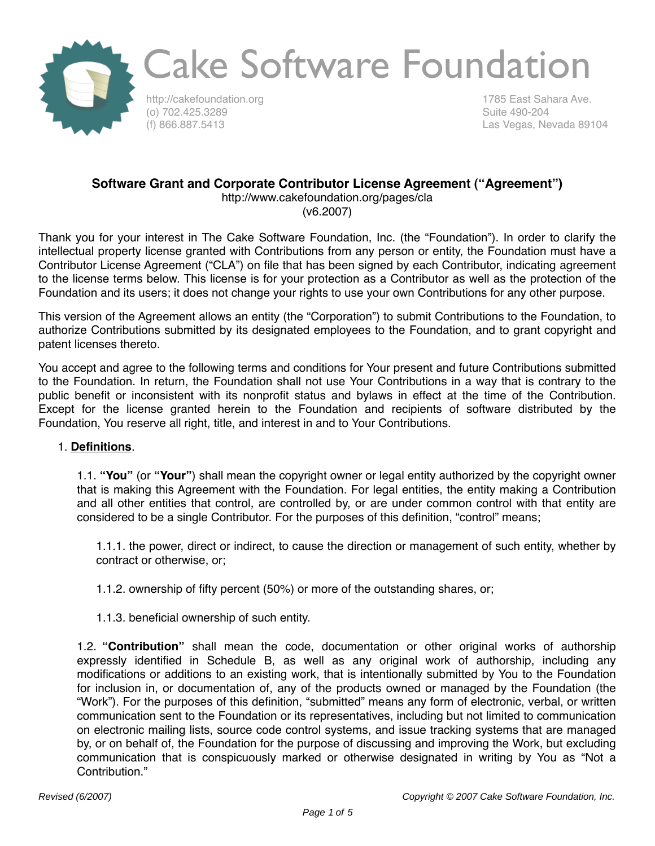

http://cakefoundation.org (o) 702.425.3289 (f) 866.887.5413

1785 East Sahara Ave. Suite 490-204 Las Vegas, Nevada 89104

#### **Software Grant and Corporate Contributor License Agreement ("Agreement")**

http://www.cakefoundation.org/pages/cla (v6.2007)

Thank you for your interest in The Cake Software Foundation, Inc. (the "Foundation"). In order to clarify the intellectual property license granted with Contributions from any person or entity, the Foundation must have a Contributor License Agreement ("CLA") on file that has been signed by each Contributor, indicating agreement to the license terms below. This license is for your protection as a Contributor as well as the protection of the Foundation and its users; it does not change your rights to use your own Contributions for any other purpose.

This version of the Agreement allows an entity (the "Corporation") to submit Contributions to the Foundation, to authorize Contributions submitted by its designated employees to the Foundation, and to grant copyright and patent licenses thereto.

You accept and agree to the following terms and conditions for Your present and future Contributions submitted to the Foundation. In return, the Foundation shall not use Your Contributions in a way that is contrary to the public benefit or inconsistent with its nonprofit status and bylaws in effect at the time of the Contribution. Except for the license granted herein to the Foundation and recipients of software distributed by the Foundation, You reserve all right, title, and interest in and to Your Contributions.

#### 1. **Definitions**.

1.1. **"You"** (or **"Your"**) shall mean the copyright owner or legal entity authorized by the copyright owner that is making this Agreement with the Foundation. For legal entities, the entity making a Contribution and all other entities that control, are controlled by, or are under common control with that entity are considered to be a single Contributor. For the purposes of this definition, "control" means;

1.1.1. the power, direct or indirect, to cause the direction or management of such entity, whether by contract or otherwise, or;

1.1.2. ownership of fifty percent (50%) or more of the outstanding shares, or;

1.1.3. beneficial ownership of such entity.

1.2. **"Contribution"** shall mean the code, documentation or other original works of authorship expressly identified in Schedule B, as well as any original work of authorship, including any modifications or additions to an existing work, that is intentionally submitted by You to the Foundation for inclusion in, or documentation of, any of the products owned or managed by the Foundation (the "Work"). For the purposes of this definition, "submitted" means any form of electronic, verbal, or written communication sent to the Foundation or its representatives, including but not limited to communication on electronic mailing lists, source code control systems, and issue tracking systems that are managed by, or on behalf of, the Foundation for the purpose of discussing and improving the Work, but excluding communication that is conspicuously marked or otherwise designated in writing by You as "Not a Contribution."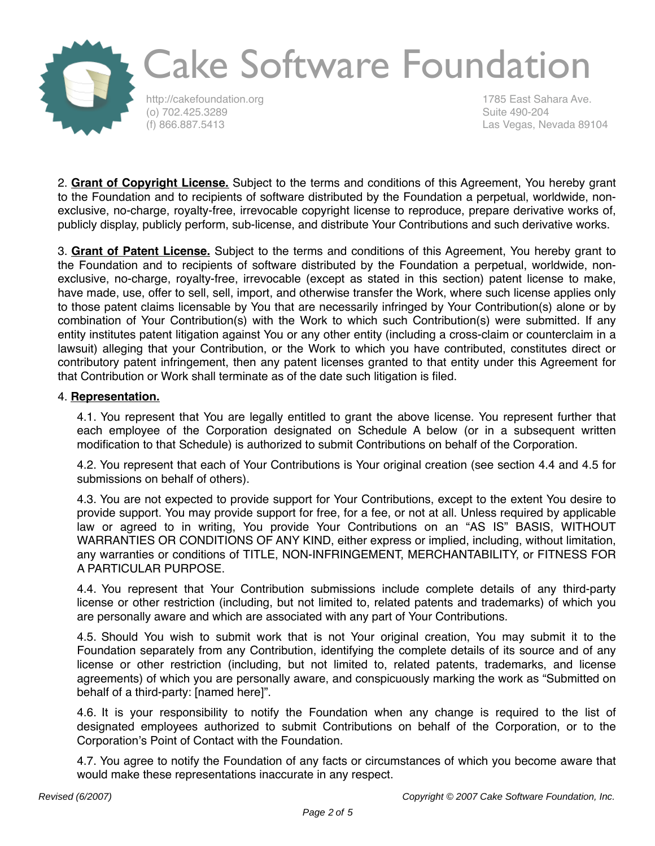

http://cakefoundation.org (o) 702.425.3289 (f) 866.887.5413

1785 East Sahara Ave. Suite 490-204 Las Vegas, Nevada 89104

2. **Grant of Copyright License.** Subject to the terms and conditions of this Agreement, You hereby grant to the Foundation and to recipients of software distributed by the Foundation a perpetual, worldwide, nonexclusive, no-charge, royalty-free, irrevocable copyright license to reproduce, prepare derivative works of, publicly display, publicly perform, sub-license, and distribute Your Contributions and such derivative works.

3. **Grant of Patent License.** Subject to the terms and conditions of this Agreement, You hereby grant to the Foundation and to recipients of software distributed by the Foundation a perpetual, worldwide, nonexclusive, no-charge, royalty-free, irrevocable (except as stated in this section) patent license to make, have made, use, offer to sell, sell, import, and otherwise transfer the Work, where such license applies only to those patent claims licensable by You that are necessarily infringed by Your Contribution(s) alone or by combination of Your Contribution(s) with the Work to which such Contribution(s) were submitted. If any entity institutes patent litigation against You or any other entity (including a cross-claim or counterclaim in a lawsuit) alleging that your Contribution, or the Work to which you have contributed, constitutes direct or contributory patent infringement, then any patent licenses granted to that entity under this Agreement for that Contribution or Work shall terminate as of the date such litigation is filed.

#### 4. **Representation.**

4.1. You represent that You are legally entitled to grant the above license. You represent further that each employee of the Corporation designated on Schedule A below (or in a subsequent written modification to that Schedule) is authorized to submit Contributions on behalf of the Corporation.

4.2. You represent that each of Your Contributions is Your original creation (see section 4.4 and 4.5 for submissions on behalf of others).

4.3. You are not expected to provide support for Your Contributions, except to the extent You desire to provide support. You may provide support for free, for a fee, or not at all. Unless required by applicable law or agreed to in writing, You provide Your Contributions on an "AS IS" BASIS, WITHOUT WARRANTIES OR CONDITIONS OF ANY KIND, either express or implied, including, without limitation, any warranties or conditions of TITLE, NON-INFRINGEMENT, MERCHANTABILITY, or FITNESS FOR A PARTICULAR PURPOSE.

4.4. You represent that Your Contribution submissions include complete details of any third-party license or other restriction (including, but not limited to, related patents and trademarks) of which you are personally aware and which are associated with any part of Your Contributions.

4.5. Should You wish to submit work that is not Your original creation, You may submit it to the Foundation separately from any Contribution, identifying the complete details of its source and of any license or other restriction (including, but not limited to, related patents, trademarks, and license agreements) of which you are personally aware, and conspicuously marking the work as "Submitted on behalf of a third-party: [named here]".

4.6. It is your responsibility to notify the Foundation when any change is required to the list of designated employees authorized to submit Contributions on behalf of the Corporation, or to the Corporation's Point of Contact with the Foundation.

4.7. You agree to notify the Foundation of any facts or circumstances of which you become aware that would make these representations inaccurate in any respect.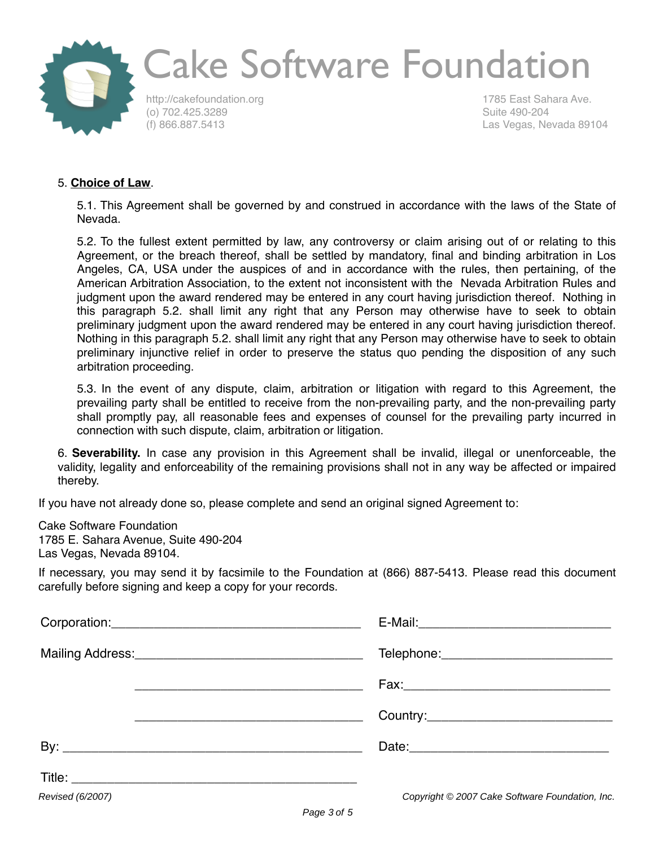

http://cakefoundation.org (o) 702.425.3289 (f) 866.887.5413

1785 East Sahara Ave. Suite 490-204 Las Vegas, Nevada 89104

#### 5. **Choice of Law**.

5.1. This Agreement shall be governed by and construed in accordance with the laws of the State of Nevada.

5.2. To the fullest extent permitted by law, any controversy or claim arising out of or relating to this Agreement, or the breach thereof, shall be settled by mandatory, final and binding arbitration in Los Angeles, CA, USA under the auspices of and in accordance with the rules, then pertaining, of the American Arbitration Association, to the extent not inconsistent with the Nevada Arbitration Rules and judgment upon the award rendered may be entered in any court having jurisdiction thereof. Nothing in this paragraph 5.2. shall limit any right that any Person may otherwise have to seek to obtain preliminary judgment upon the award rendered may be entered in any court having jurisdiction thereof. Nothing in this paragraph 5.2. shall limit any right that any Person may otherwise have to seek to obtain preliminary injunctive relief in order to preserve the status quo pending the disposition of any such arbitration proceeding.

5.3. In the event of any dispute, claim, arbitration or litigation with regard to this Agreement, the prevailing party shall be entitled to receive from the non-prevailing party, and the non-prevailing party shall promptly pay, all reasonable fees and expenses of counsel for the prevailing party incurred in connection with such dispute, claim, arbitration or litigation.

6. **Severability.** In case any provision in this Agreement shall be invalid, illegal or unenforceable, the validity, legality and enforceability of the remaining provisions shall not in any way be affected or impaired thereby.

If you have not already done so, please complete and send an original signed Agreement to:

Cake Software Foundation 1785 E. Sahara Avenue, Suite 490-204 Las Vegas, Nevada 89104.

If necessary, you may send it by facsimile to the Foundation at (866) 887-5413. Please read this document carefully before signing and keep a copy for your records.

| <u> 2000 - An Dùbhlachd ann an Dùbhlachd ann an Dùbhlachd ann an Dùbhlachd ann an Dùbhlachd ann an Dùbhlachd ann an </u> |                                                 |
|--------------------------------------------------------------------------------------------------------------------------|-------------------------------------------------|
|                                                                                                                          |                                                 |
|                                                                                                                          |                                                 |
|                                                                                                                          |                                                 |
|                                                                                                                          |                                                 |
| Revised (6/2007)                                                                                                         | Copyright © 2007 Cake Software Foundation, Inc. |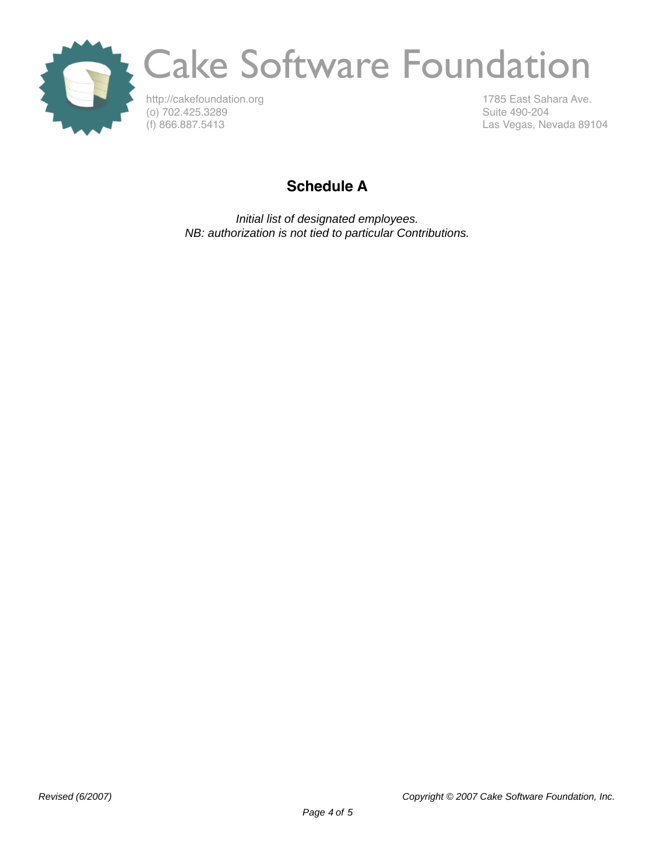

http://cakefoundation.org (o) 702.425.3289 (f) 866.887.5413

1785 East Sahara Ave. Suite 490-204 Las Vegas, Nevada 89104

#### **Schedule A**

Initial list of designated employees. NB: authorization is not tied to particular Contributions.